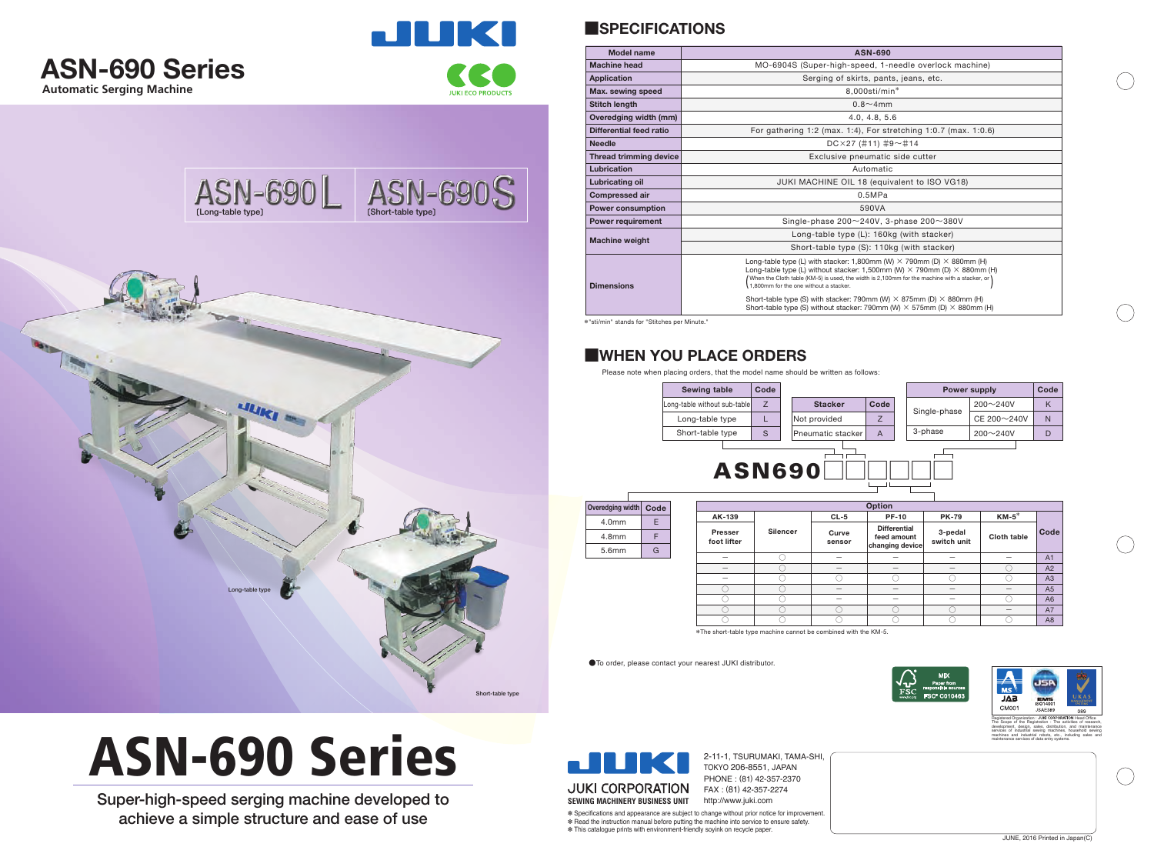







**Overedg** 

2-11-1, TSURUMAKI, TAMA-SHI, TOKYO 206-8551, JAPAN PHONE : (81) 42-357-2370 FAX : (81) 42-357-2274

✽ Specifications and appearance are subject to change without prior notice for improvement. ✽ Read the instruction manual before putting the machine into service to ensure safety. ✽ This catalogue prints with environment-friendly soyink on recycle paper.



| ASN-690L        | ASN-690S         |
|-----------------|------------------|
|                 |                  |
| <b>ULIKI</b>    |                  |
| Long-table type |                  |
|                 | Short-table type |

# ASN-690 Series

Super-high-speed serging machine developed to achieve a simple structure and ease of use

●To order, please contact your nearest JUKI distributor.

## **■WHEN YOU PLACE ORDERS**



| eredging width | Code | <b>Option</b>          |                 |                 |                                                       |                        |             |                |
|----------------|------|------------------------|-----------------|-----------------|-------------------------------------------------------|------------------------|-------------|----------------|
| 4.0mm          | E    | AK-139                 |                 | $CL-5$          | <b>PF-10</b>                                          | <b>PK-79</b>           | $KM-5^*$    |                |
| 4.8mm          | F    | Presser<br>foot lifter | <b>Silencer</b> | Curve<br>sensor | <b>Differential</b><br>feed amount<br>changing device | 3-pedal<br>switch unit | Cloth table | Code           |
| 5.6mm          | G    |                        |                 |                 |                                                       |                        |             | A1             |
|                |      | $\qquad \qquad$        |                 |                 |                                                       |                        |             | A2             |
|                |      | -                      |                 |                 |                                                       |                        |             | A3             |
|                |      |                        |                 |                 |                                                       |                        |             | A <sub>5</sub> |
|                |      |                        |                 |                 |                                                       |                        |             | A6             |
|                |      |                        |                 |                 |                                                       |                        |             | A7             |
|                |      |                        |                 |                 |                                                       |                        |             | A8             |

| <b>Power supply</b> |                    |  | Code |
|---------------------|--------------------|--|------|
|                     | $200 - 240V$       |  | ĸ    |
| Single-phase        | $CE 200 \sim 240V$ |  | N    |
| 3-phase             | $200 - 240V$       |  | I)   |
|                     |                    |  |      |

\*The short-table type machine cannot be combined with the KM-5.

Please note when placing orders, that the model name should be written as follows:

# **■SPECIFICATIONS**

\*"sti/min" stands for "Stitches per Minute."

| <b>Model name</b>             | <b>ASN-690</b>                                                                                                                                                                                                                                                                                                                                                                                                                                                                                          |  |  |
|-------------------------------|---------------------------------------------------------------------------------------------------------------------------------------------------------------------------------------------------------------------------------------------------------------------------------------------------------------------------------------------------------------------------------------------------------------------------------------------------------------------------------------------------------|--|--|
| <b>Machine head</b>           | MO-6904S (Super-high-speed, 1-needle overlock machine)                                                                                                                                                                                                                                                                                                                                                                                                                                                  |  |  |
| <b>Application</b>            | Serging of skirts, pants, jeans, etc.                                                                                                                                                                                                                                                                                                                                                                                                                                                                   |  |  |
| Max. sewing speed             | 8,000sti/min*                                                                                                                                                                                                                                                                                                                                                                                                                                                                                           |  |  |
| <b>Stitch length</b>          | $0.8 - 4$ mm                                                                                                                                                                                                                                                                                                                                                                                                                                                                                            |  |  |
| Overedging width (mm)         | 4.0, 4.8, 5.6                                                                                                                                                                                                                                                                                                                                                                                                                                                                                           |  |  |
| Differential feed ratio       | For gathering 1:2 (max. 1:4), For stretching 1:0.7 (max. 1:0.6)                                                                                                                                                                                                                                                                                                                                                                                                                                         |  |  |
| <b>Needle</b>                 | $DC \times 27$ (#11) #9~#14                                                                                                                                                                                                                                                                                                                                                                                                                                                                             |  |  |
| <b>Thread trimming device</b> | Exclusive pneumatic side cutter                                                                                                                                                                                                                                                                                                                                                                                                                                                                         |  |  |
| Lubrication                   | Automatic                                                                                                                                                                                                                                                                                                                                                                                                                                                                                               |  |  |
| Lubricating oil               | JUKI MACHINE OIL 18 (equivalent to ISO VG18)                                                                                                                                                                                                                                                                                                                                                                                                                                                            |  |  |
| <b>Compressed air</b>         | 0.5MPa                                                                                                                                                                                                                                                                                                                                                                                                                                                                                                  |  |  |
| <b>Power consumption</b>      | 590VA                                                                                                                                                                                                                                                                                                                                                                                                                                                                                                   |  |  |
| <b>Power requirement</b>      | Single-phase $200 \sim 240V$ , 3-phase $200 \sim 380V$                                                                                                                                                                                                                                                                                                                                                                                                                                                  |  |  |
| <b>Machine weight</b>         | Long-table type (L): 160kg (with stacker)                                                                                                                                                                                                                                                                                                                                                                                                                                                               |  |  |
|                               | Short-table type (S): 110kg (with stacker)                                                                                                                                                                                                                                                                                                                                                                                                                                                              |  |  |
| <b>Dimensions</b>             | Long-table type (L) with stacker: 1,800mm (W) $\times$ 790mm (D) $\times$ 880mm (H)<br>Long-table type (L) without stacker: 1,500mm (W) $\times$ 790mm (D) $\times$ 880mm (H)<br>(When the Cloth table (KM-5) is used, the width is 2,100mm for the machine with a stacker, or<br>1,800mm for the one without a stacker.<br>Short-table type (S) with stacker: 790mm (W) $\times$ 875mm (D) $\times$ 880mm (H)<br>Short-table type (S) without stacker: 790mm (W) $\times$ 575mm (D) $\times$ 880mm (H) |  |  |



maintenance services of data entry systems.